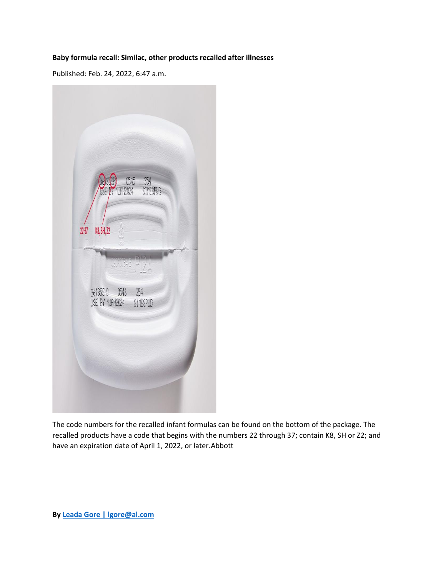## **Baby formula recall: Similac, other products recalled after illnesses**

Published: Feb. 24, 2022, 6:47 a.m.



The code numbers for the recalled infant formulas can be found on the bottom of the package. The recalled products have a code that begins with the numbers 22 through 37; contain K8, SH or Z2; and have an expiration date of April 1, 2022, or later.Abbott